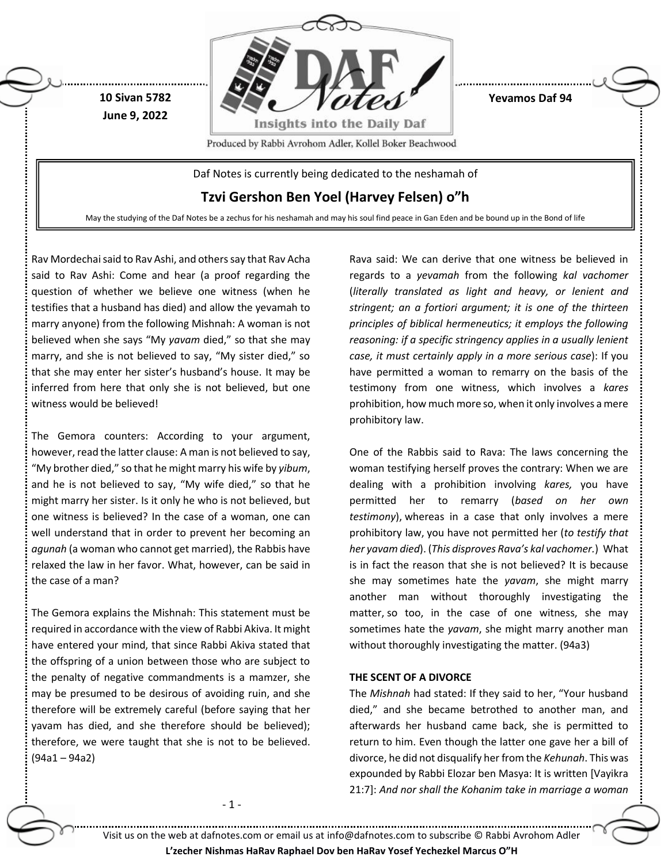

**Yevamos Daf 94**

Produced by Rabbi Avrohom Adler, Kollel Boker Beachwood

Daf Notes is currently being dedicated to the neshamah of

**Tzvi Gershon Ben Yoel (Harvey Felsen) o"h**

May the studying of the Daf Notes be a zechus for his neshamah and may his soul find peace in Gan Eden and be bound up in the Bond of life

Rav Mordechai said to Rav Ashi, and others say that Rav Acha said to Rav Ashi: Come and hear (a proof regarding the question of whether we believe one witness (when he testifies that a husband has died) and allow the yevamah to marry anyone) from the following Mishnah: A woman is not believed when she says "My *yavam* died," so that she may marry, and she is not believed to say, "My sister died," so that she may enter her sister's husband's house. It may be inferred from here that only she is not believed, but one witness would be believed!

**10 Sivan 5782 June 9, 2022**

The Gemora counters: According to your argument, however, read the latter clause: A man is not believed to say, "My brother died," so that he might marry his wife by *yibum*, and he is not believed to say, "My wife died," so that he might marry her sister. Is it only he who is not believed, but one witness is believed? In the case of a woman, one can well understand that in order to prevent her becoming an *agunah* (a woman who cannot get married), the Rabbis have relaxed the law in her favor. What, however, can be said in the case of a man?

The Gemora explains the Mishnah: This statement must be required in accordance with the view of Rabbi Akiva. It might have entered your mind, that since Rabbi Akiva stated that the offspring of a union between those who are subject to the penalty of negative commandments is a mamzer, she may be presumed to be desirous of avoiding ruin, and she therefore will be extremely careful (before saying that her yavam has died, and she therefore should be believed); therefore, we were taught that she is not to be believed. (94a1 – 94a2)

Rava said: We can derive that one witness be believed in regards to a *yevamah* from the following *kal vachomer* (*literally translated as light and heavy, or lenient and stringent; an a fortiori argument; it is one of the thirteen principles of biblical hermeneutics; it employs the following reasoning: if a specific stringency applies in a usually lenient case, it must certainly apply in a more serious case*): If you have permitted a woman to remarry on the basis of the testimony from one witness, which involves a *kares* prohibition, how much more so, when it only involves a mere prohibitory law.

One of the Rabbis said to Rava: The laws concerning the woman testifying herself proves the contrary: When we are dealing with a prohibition involving *kares,* you have permitted her to remarry (*based on her own testimony*), whereas in a case that only involves a mere prohibitory law, you have not permitted her (*to testify that her yavam died*). (*This disproves Rava's kal vachomer.*) What is in fact the reason that she is not believed? It is because she may sometimes hate the *yavam*, she might marry another man without thoroughly investigating the matter, so too, in the case of one witness, she may sometimes hate the *yavam*, she might marry another man without thoroughly investigating the matter. (94a3)

### **THE SCENT OF A DIVORCE**

The *Mishnah* had stated: If they said to her, "Your husband died," and she became betrothed to another man, and afterwards her husband came back, she is permitted to return to him. Even though the latter one gave her a bill of divorce, he did not disqualify her from the *Kehunah*. This was expounded by Rabbi Elozar ben Masya: It is written [Vayikra 21:7]: *And nor shall the Kohanim take in marriage a woman* 

- 1 -

Visit us on the web at dafnotes.com or email us at [info@dafnotes.com](mailto:info@dafnotes.com) to subscribe © Rabbi Avrohom Adler

**L'zecher Nishmas HaRav Raphael Dov ben HaRav Yosef Yechezkel Marcus O"H**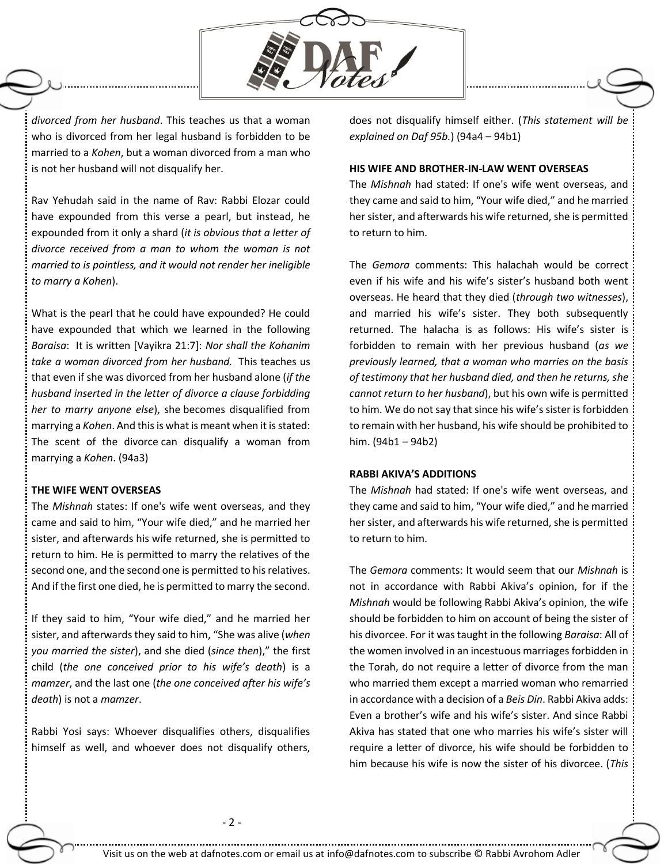

*divorced from her husband*. This teaches us that a woman who is divorced from her legal husband is forbidden to be married to a *Kohen*, but a woman divorced from a man who is not her husband will not disqualify her.

Rav Yehudah said in the name of Rav: Rabbi Elozar could have expounded from this verse a pearl, but instead, he expounded from it only a shard (*it is obvious that a letter of divorce received from a man to whom the woman is not married to is pointless, and it would not render her ineligible to marry a Kohen*).

What is the pearl that he could have expounded? He could have expounded that which we learned in the following *Baraisa*: It is written [Vayikra 21:7]: *Nor shall the Kohanim take a woman divorced from her husband.* This teaches us that even if she was divorced from her husband alone (*if the husband inserted in the letter of divorce a clause forbidding her to marry anyone else*), she becomes disqualified from marrying a *Kohen*. And this is what is meant when it is stated: The scent of the divorce can disqualify a woman from marrying a *Kohen*. (94a3)

#### **THE WIFE WENT OVERSEAS**

The *Mishnah* states: If one's wife went overseas, and they came and said to him, "Your wife died," and he married her sister, and afterwards his wife returned, she is permitted to return to him. He is permitted to marry the relatives of the second one, and the second one is permitted to his relatives. And if the first one died, he is permitted to marry the second.

If they said to him, "Your wife died," and he married her sister, and afterwards they said to him, "She was alive (*when you married the sister*), and she died (*since then*)," the first child (*the one conceived prior to his wife's death*) is a *mamzer*, and the last one (*the one conceived after his wife's death*) is not a *mamzer*.

Rabbi Yosi says: Whoever disqualifies others, disqualifies himself as well, and whoever does not disqualify others, does not disqualify himself either. (*This statement will be explained on Daf 95b.*) (94a4 – 94b1)

### **HIS WIFE AND BROTHER-IN-LAW WENT OVERSEAS**

The *Mishnah* had stated: If one's wife went overseas, and they came and said to him, "Your wife died," and he married her sister, and afterwards his wife returned, she is permitted to return to him.

The *Gemora* comments: This halachah would be correct even if his wife and his wife's sister's husband both went overseas. He heard that they died (*through two witnesses*), and married his wife's sister. They both subsequently returned. The halacha is as follows: His wife's sister is forbidden to remain with her previous husband (*as we previously learned, that a woman who marries on the basis of testimony that her husband died, and then he returns, she cannot return to her husband*), but his own wife is permitted to him. We do not say that since his wife's sister is forbidden to remain with her husband, his wife should be prohibited to him. (94b1 – 94b2)

# **RABBI AKIVA'S ADDITIONS**

The *Mishnah* had stated: If one's wife went overseas, and they came and said to him, "Your wife died," and he married her sister, and afterwards his wife returned, she is permitted to return to him.

The *Gemora* comments: It would seem that our *Mishnah* is not in accordance with Rabbi Akiva's opinion, for if the *Mishnah* would be following Rabbi Akiva's opinion, the wife should be forbidden to him on account of being the sister of his divorcee. For it was taught in the following *Baraisa*: All of the women involved in an incestuous marriages forbidden in the Torah, do not require a letter of divorce from the man who married them except a married woman who remarried in accordance with a decision of a *Beis Din*. Rabbi Akiva adds: Even a brother's wife and his wife's sister. And since Rabbi Akiva has stated that one who marries his wife's sister will require a letter of divorce, his wife should be forbidden to him because his wife is now the sister of his divorcee. (*This*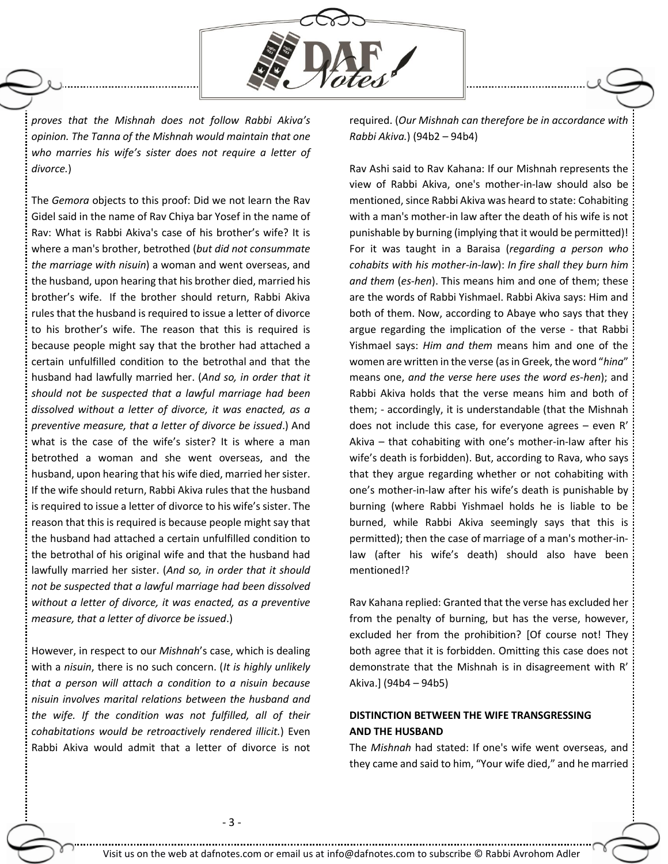

*proves that the Mishnah does not follow Rabbi Akiva's opinion. The Tanna of the Mishnah would maintain that one who marries his wife's sister does not require a letter of divorce.*)

The *Gemora* objects to this proof: Did we not learn the Rav Gidel said in the name of Rav Chiya bar Yosef in the name of Rav: What is Rabbi Akiva's case of his brother's wife? It is where a man's brother, betrothed (*but did not consummate the marriage with nisuin*) a woman and went overseas, and the husband, upon hearing that his brother died, married his brother's wife. If the brother should return, Rabbi Akiva rules that the husband is required to issue a letter of divorce to his brother's wife. The reason that this is required is because people might say that the brother had attached a certain unfulfilled condition to the betrothal and that the husband had lawfully married her. (*And so, in order that it should not be suspected that a lawful marriage had been dissolved without a letter of divorce, it was enacted, as a preventive measure, that a letter of divorce be issued*.) And what is the case of the wife's sister? It is where a man betrothed a woman and she went overseas, and the husband, upon hearing that his wife died, married her sister. If the wife should return, Rabbi Akiva rules that the husband is required to issue a letter of divorce to his wife's sister. The reason that this is required is because people might say that the husband had attached a certain unfulfilled condition to the betrothal of his original wife and that the husband had lawfully married her sister. (*And so, in order that it should not be suspected that a lawful marriage had been dissolved without a letter of divorce, it was enacted, as a preventive measure, that a letter of divorce be issued*.)

However, in respect to our *Mishnah*'s case, which is dealing with a *nisuin*, there is no such concern. (*It is highly unlikely that a person will attach a condition to a nisuin because nisuin involves marital relations between the husband and the wife. If the condition was not fulfilled, all of their cohabitations would be retroactively rendered illicit.*) Even Rabbi Akiva would admit that a letter of divorce is not required. (*Our Mishnah can therefore be in accordance with Rabbi Akiva.*) (94b2 – 94b4)

Rav Ashi said to Rav Kahana: If our Mishnah represents the view of Rabbi Akiva, one's mother-in-law should also be mentioned, since Rabbi Akiva was heard to state: Cohabiting with a man's mother-in law after the death of his wife is not punishable by burning (implying that it would be permitted)! For it was taught in a Baraisa (*regarding a person who cohabits with his mother-in-law*): *In fire shall they burn him and them* (*es-hen*). This means him and one of them; these are the words of Rabbi Yishmael. Rabbi Akiva says: Him and both of them. Now, according to Abaye who says that they argue regarding the implication of the verse - that Rabbi Yishmael says: *Him and them* means him and one of the women are written in the verse (as in Greek, the word "*hina*" means one, *and the verse here uses the word es-hen*); and Rabbi Akiva holds that the verse means him and both of them; - accordingly, it is understandable (that the Mishnah does not include this case, for everyone agrees – even R' Akiva – that cohabiting with one's mother-in-law after his wife's death is forbidden). But, according to Rava, who says that they argue regarding whether or not cohabiting with one's mother-in-law after his wife's death is punishable by burning (where Rabbi Yishmael holds he is liable to be burned, while Rabbi Akiva seemingly says that this is permitted); then the case of marriage of a man's mother-inlaw (after his wife's death) should also have been mentioned!?

Rav Kahana replied: Granted that the verse has excluded her from the penalty of burning, but has the verse, however, excluded her from the prohibition? [Of course not! They both agree that it is forbidden. Omitting this case does not demonstrate that the Mishnah is in disagreement with R' Akiva.] (94b4 – 94b5)

# **DISTINCTION BETWEEN THE WIFE TRANSGRESSING AND THE HUSBAND**

The *Mishnah* had stated: If one's wife went overseas, and they came and said to him, "Your wife died," and he married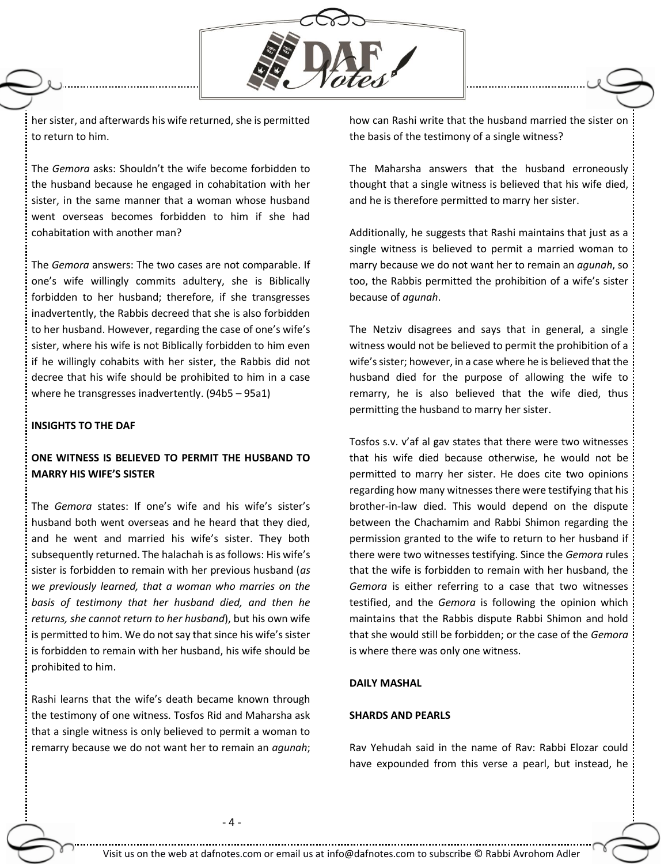

her sister, and afterwards his wife returned, she is permitted to return to him.

The *Gemora* asks: Shouldn't the wife become forbidden to the husband because he engaged in cohabitation with her sister, in the same manner that a woman whose husband went overseas becomes forbidden to him if she had cohabitation with another man?

The *Gemora* answers: The two cases are not comparable. If one's wife willingly commits adultery, she is Biblically forbidden to her husband; therefore, if she transgresses inadvertently, the Rabbis decreed that she is also forbidden to her husband. However, regarding the case of one's wife's sister, where his wife is not Biblically forbidden to him even if he willingly cohabits with her sister, the Rabbis did not decree that his wife should be prohibited to him in a case where he transgresses inadvertently. (94b5 – 95a1)

#### **INSIGHTS TO THE DAF**

# **ONE WITNESS IS BELIEVED TO PERMIT THE HUSBAND TO MARRY HIS WIFE'S SISTER**

The *Gemora* states: If one's wife and his wife's sister's husband both went overseas and he heard that they died, and he went and married his wife's sister. They both subsequently returned. The halachah is as follows: His wife's sister is forbidden to remain with her previous husband (*as we previously learned, that a woman who marries on the basis of testimony that her husband died, and then he returns, she cannot return to her husband*), but his own wife is permitted to him. We do not say that since his wife's sister is forbidden to remain with her husband, his wife should be prohibited to him.

Rashi learns that the wife's death became known through the testimony of one witness. Tosfos Rid and Maharsha ask that a single witness is only believed to permit a woman to remarry because we do not want her to remain an *agunah*; how can Rashi write that the husband married the sister on the basis of the testimony of a single witness?

The Maharsha answers that the husband erroneously thought that a single witness is believed that his wife died, and he is therefore permitted to marry her sister.

Additionally, he suggests that Rashi maintains that just as a single witness is believed to permit a married woman to marry because we do not want her to remain an *agunah*, so too, the Rabbis permitted the prohibition of a wife's sister because of *agunah*.

The Netziv disagrees and says that in general, a single witness would not be believed to permit the prohibition of a wife's sister; however, in a case where he is believed that the husband died for the purpose of allowing the wife to remarry, he is also believed that the wife died, thus permitting the husband to marry her sister.

Tosfos s.v. v'af al gav states that there were two witnesses that his wife died because otherwise, he would not be permitted to marry her sister. He does cite two opinions regarding how many witnesses there were testifying that his brother-in-law died. This would depend on the dispute between the Chachamim and Rabbi Shimon regarding the permission granted to the wife to return to her husband if there were two witnesses testifying. Since the *Gemora* rules that the wife is forbidden to remain with her husband, the *Gemora* is either referring to a case that two witnesses testified, and the *Gemora* is following the opinion which maintains that the Rabbis dispute Rabbi Shimon and hold that she would still be forbidden; or the case of the *Gemora* is where there was only one witness.

## **DAILY MASHAL**

## **SHARDS AND PEARLS**

Rav Yehudah said in the name of Rav: Rabbi Elozar could have expounded from this verse a pearl, but instead, he